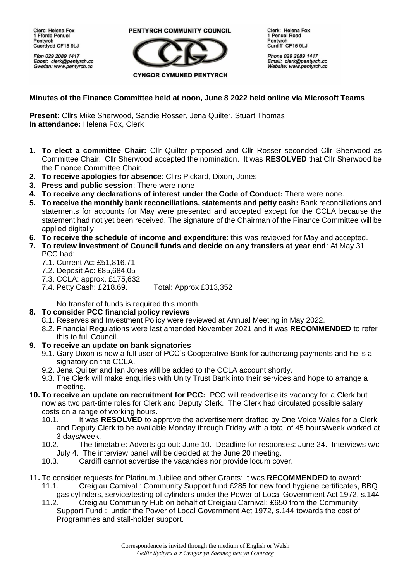Clerc: Helena Fox 1 Ffordd Penuel Pentvrch Caerdydd CF15 9LJ

Ffon 029 2089 1417 Ebost: clerk@pentyrch.cc Gwefan: www.pentyrch.cc

PENTYRCH COMMUNITY COUNCIL



Clerk: Helena Fox 1 Penuel Road Pentyrch Cardiff CF15 9LJ

Phone 029 2089 1417 Email: clerk@pentyrch.cc<br>Website: www.pentyrch.cc

## **Minutes of the Finance Committee held at noon, June 8 2022 held online via Microsoft Teams**

**Present:** Cllrs Mike Sherwood, Sandie Rosser, Jena Quilter, Stuart Thomas **In attendance:** Helena Fox, Clerk

- **1. To elect a committee Chair:** Cllr Quilter proposed and Cllr Rosser seconded Cllr Sherwood as Committee Chair. Cllr Sherwood accepted the nomination. It was **RESOLVED** that Cllr Sherwood be the Finance Committee Chair.
- **2. To receive apologies for absence**: Cllrs Pickard, Dixon, Jones
- **3. Press and public session**: There were none
- **4. To receive any declarations of interest under the Code of Conduct:** There were none.
- **5. To receive the monthly bank reconciliations, statements and petty cash:** Bank reconciliations and statements for accounts for May were presented and accepted except for the CCLA because the statement had not yet been received. The signature of the Chairman of the Finance Committee will be applied digitally.
- **6. To receive the schedule of income and expenditure**: this was reviewed for May and accepted.
- **7. To review investment of Council funds and decide on any transfers at year end**: At May 31 PCC had:
	- 7.1. Current Ac: £51,816.71
	- 7.2. Deposit Ac: £85,684.05
	- 7.3. CCLA: approx. £175,632
	- 7.4. Petty Cash: £218.69. Total: Approx £313,352

No transfer of funds is required this month.

## **8. To consider PCC financial policy reviews**

- 8.1. Reserves and Investment Policy were reviewed at Annual Meeting in May 2022.
- 8.2. Financial Regulations were last amended November 2021 and it was **RECOMMENDED** to refer this to full Council.
- **9. To receive an update on bank signatories**
	- 9.1. Gary Dixon is now a full user of PCC's Cooperative Bank for authorizing payments and he is a signatory on the CCLA.
	- 9.2. Jena Quilter and Ian Jones will be added to the CCLA account shortly.
	- 9.3. The Clerk will make enquiries with Unity Trust Bank into their services and hope to arrange a meeting.
- **10. To receive an update on recruitment for PCC:** PCC will readvertise its vacancy for a Clerk but now as two part-time roles for Clerk and Deputy Clerk. The Clerk had circulated possible salary costs on a range of working hours.
	- 10.1. It was **RESOLVED** to approve the advertisement drafted by One Voice Wales for a Clerk and Deputy Clerk to be available Monday through Friday with a total of 45 hours/week worked at 3 days/week.
	- 10.2. The timetable: Adverts go out: June 10. Deadline for responses: June 24. Interviews w/c July 4. The interview panel will be decided at the June 20 meeting.
	- 10.3. Cardiff cannot advertise the vacancies nor provide locum cover.
- **11.** To consider requests for Platinum Jubilee and other Grants: It was **RECOMMENDED** to award: 11.1. Creigiau Carnival : Community Support fund £285 for new food hygiene certificates, BBQ
	- gas cylinders, service/testing of cylinders under the Power of Local Government Act 1972, s.144 11.2. Creigiau Community Hub on behalf of Creigiau Carnival: £650 from the Community
	- Support Fund : under the Power of Local Government Act 1972, s.144 towards the cost of Programmes and stall-holder support.